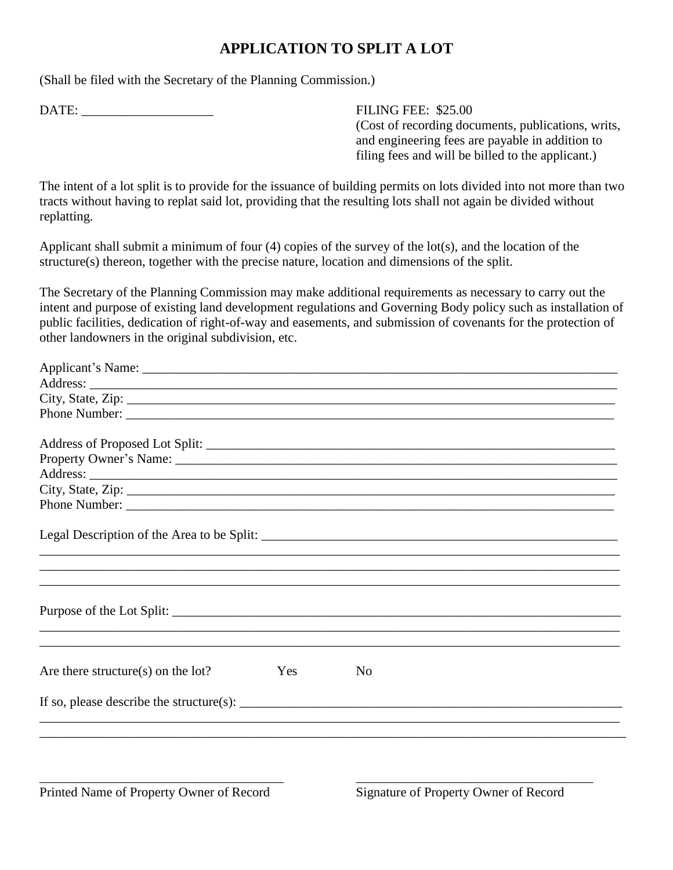## **APPLICATION TO SPLIT A LOT**

(Shall be filed with the Secretary of the Planning Commission.)

DATE:  $\blacksquare$  FILING FEE: \$25.00

(Cost of recording documents, publications, writs, and engineering fees are payable in addition to filing fees and will be billed to the applicant.)

The intent of a lot split is to provide for the issuance of building permits on lots divided into not more than two tracts without having to replat said lot, providing that the resulting lots shall not again be divided without replatting.

Applicant shall submit a minimum of four (4) copies of the survey of the lot(s), and the location of the structure(s) thereon, together with the precise nature, location and dimensions of the split.

The Secretary of the Planning Commission may make additional requirements as necessary to carry out the intent and purpose of existing land development regulations and Governing Body policy such as installation of public facilities, dedication of right-of-way and easements, and submission of covenants for the protection of other landowners in the original subdivision, etc.

| City, State, Zip: 2008. Experience of the State of Table 3. The State of Table 3. The State of Table 3. The State of Table 3. The State of Table 3. The State of Table 3. The State 3. The State 3. The State 3. The State 3.                                                                                                                                                                 |            |    |  |  |
|-----------------------------------------------------------------------------------------------------------------------------------------------------------------------------------------------------------------------------------------------------------------------------------------------------------------------------------------------------------------------------------------------|------------|----|--|--|
|                                                                                                                                                                                                                                                                                                                                                                                               |            |    |  |  |
|                                                                                                                                                                                                                                                                                                                                                                                               |            |    |  |  |
|                                                                                                                                                                                                                                                                                                                                                                                               |            |    |  |  |
|                                                                                                                                                                                                                                                                                                                                                                                               |            |    |  |  |
|                                                                                                                                                                                                                                                                                                                                                                                               |            |    |  |  |
|                                                                                                                                                                                                                                                                                                                                                                                               |            |    |  |  |
|                                                                                                                                                                                                                                                                                                                                                                                               |            |    |  |  |
| Purpose of the Lot Split:                                                                                                                                                                                                                                                                                                                                                                     |            |    |  |  |
| Are there structure(s) on the $lot?$                                                                                                                                                                                                                                                                                                                                                          | <b>Yes</b> | No |  |  |
| If so, please describe the structure(s): $\frac{1}{\sqrt{1-\frac{1}{\sqrt{1-\frac{1}{\sqrt{1-\frac{1}{\sqrt{1-\frac{1}{\sqrt{1-\frac{1}{\sqrt{1-\frac{1}{\sqrt{1-\frac{1}{\sqrt{1-\frac{1}{\sqrt{1-\frac{1}{\sqrt{1-\frac{1}{\sqrt{1-\frac{1}{\sqrt{1-\frac{1}{\sqrt{1-\frac{1}{\sqrt{1-\frac{1}{\sqrt{1-\frac{1}{\sqrt{1-\frac{1}{\sqrt{1-\frac{1}{\sqrt{1-\frac{1}{\sqrt{1-\frac{1}{\sqrt{$ |            |    |  |  |
|                                                                                                                                                                                                                                                                                                                                                                                               |            |    |  |  |

\_\_\_\_\_\_\_\_\_\_\_\_\_\_\_\_\_\_\_\_\_\_\_\_\_\_\_\_\_\_\_\_\_\_\_\_\_ \_\_\_\_\_\_\_\_\_\_\_\_\_\_\_\_\_\_\_\_\_\_\_\_\_\_\_\_\_\_\_\_\_\_\_\_

Printed Name of Property Owner of Record Signature of Property Owner of Record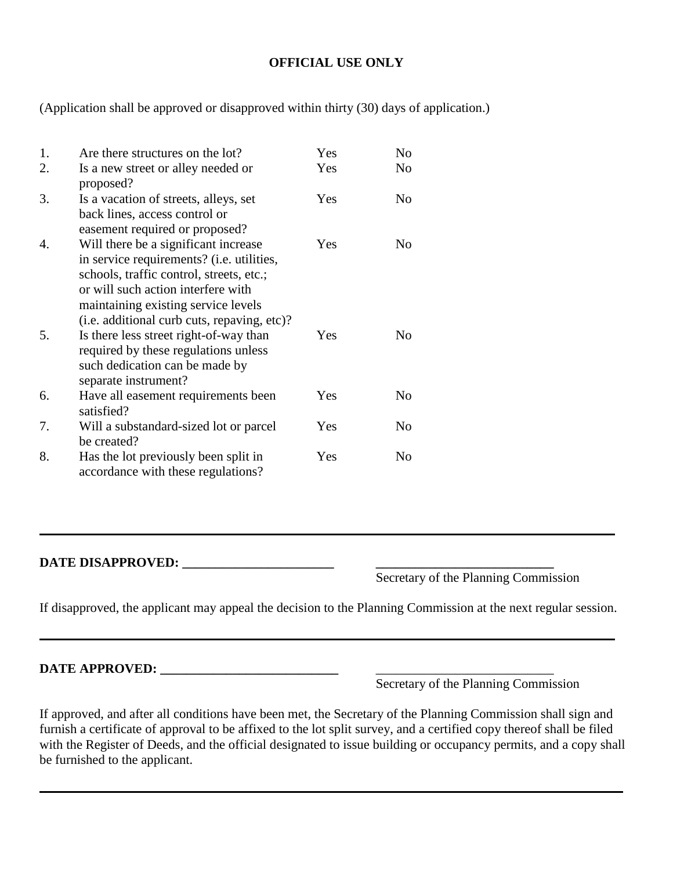## **OFFICIAL USE ONLY**

(Application shall be approved or disapproved within thirty (30) days of application.)

| 1. | Are there structures on the lot?                                                                                                                                                                                                                          | Yes | No             |
|----|-----------------------------------------------------------------------------------------------------------------------------------------------------------------------------------------------------------------------------------------------------------|-----|----------------|
| 2. | Is a new street or alley needed or<br>proposed?                                                                                                                                                                                                           | Yes | N <sub>0</sub> |
| 3. | Is a vacation of streets, alleys, set<br>back lines, access control or<br>easement required or proposed?                                                                                                                                                  | Yes | No             |
| 4. | Will there be a significant increase<br>in service requirements? (i.e. utilities,<br>schools, traffic control, streets, etc.;<br>or will such action interfere with<br>maintaining existing service levels<br>(i.e. additional curb cuts, repaving, etc)? | Yes | No             |
| 5. | Is there less street right-of-way than<br>required by these regulations unless<br>such dedication can be made by<br>separate instrument?                                                                                                                  | Yes | No             |
| 6. | Have all easement requirements been<br>satisfied?                                                                                                                                                                                                         | Yes | No             |
| 7. | Will a substandard-sized lot or parcel<br>be created?                                                                                                                                                                                                     | Yes | No             |
| 8. | Has the lot previously been split in<br>accordance with these regulations?                                                                                                                                                                                | Yes | No             |

**DATE DISAPPROVED: \_\_\_\_\_\_\_\_\_\_\_\_\_\_\_\_\_\_\_\_\_\_\_ \_\_\_\_\_\_\_\_\_\_\_\_\_\_\_\_\_\_\_\_\_\_\_\_\_\_\_**

Secretary of the Planning Commission

If disapproved, the applicant may appeal the decision to the Planning Commission at the next regular session.

**DATE APPROVED: \_\_\_\_\_\_\_\_\_\_\_\_\_\_\_\_\_\_\_\_\_\_\_\_\_\_\_** \_\_\_\_\_\_\_\_\_\_\_\_\_\_\_\_\_\_\_\_\_\_\_\_\_\_\_

Secretary of the Planning Commission

If approved, and after all conditions have been met, the Secretary of the Planning Commission shall sign and furnish a certificate of approval to be affixed to the lot split survey, and a certified copy thereof shall be filed with the Register of Deeds, and the official designated to issue building or occupancy permits, and a copy shall be furnished to the applicant.